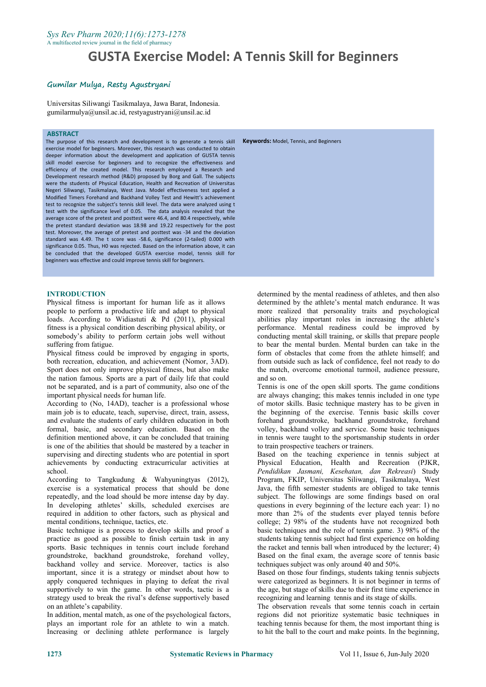#### *Sys Rev Pharm 2020;11(6):1273-1278* A multifaceted review journal inthe field of pharmacy

# **GUSTA Exercise Model: A Tennis Skill for Beginners**

# **Gumilar Mulya, Resty Agustryani**

Universitas Siliwangi Tasikmalaya, Jawa Barat, Indonesia. gumilarmulya@unsil.ac.id, restyagustryani@unsil.ac.id

#### **ABSTRACT**

The purpose of this research and development is to generate a tennis skill exercise model for beginners. Moreover, this research was conducted to obtain deeper information about the development and application of GUSTA tennis skill model exercise for beginners and to recognize the effectiveness and efficiency of the created model. This research employed a Research and Development research method (R&D) proposed by Borg and Gall. The subjects were the students of Physical Education, Health and Recreation of Universitas Negeri Siliwangi, Tasikmalaya, West Java. Model effectiveness test applied a Modified Timers Forehand and Backhand Volley Test and Hewitt's achievement test to recognize the subject's tennis skill level. The data were analyzed using t test with the significance level of 0.05. The data analysis revealed that the average score of the pretest and posttest were 46.4, and 80.4 respectively, while the pretest standard deviation was 18.98 and 19.22 respectively for the post test. Moreover, the average of pretest and posttest was -34 and the deviation standard was 4.49. The t score was -58.6, significance (2-tailed) 0.000 with significance 0.05. Thus, H0 was rejected. Based on the information above, it can be concluded that the developed GUSTA exercise model, tennis skill for beginners was effective and could improve tennis skill for beginners.

#### **INTRODUCTION**

Physical fitness is important for human life as it allows people to perform a productive life and adapt to physical loads. According to Widiastuti & Pd (2011), physical fitness is a physical condition describing physical ability, or somebody's ability to perform certain jobs well without suffering from fatigue.

Physical fitness could be improved by engaging in sports, both recreation, education, and achievement (Nomor, 3AD). Sport does not only improve physical fitness, but also make the nation famous. Sports are a part of daily life that could not be separated, and is a part of community, also one of the important physical needs for human life.

According to (No, 14AD), teacher is a professional whose main job is to educate, teach, supervise, direct, train, assess, and evaluate the students of early children education in both formal, basic, and secondary education. Based on the definition mentioned above, it can be concluded that training is one of the abilities that should be mastered by a teacher in supervising and directing students who are potential in sport achievements by conducting extracurricular activities at school.

According to Tangkudung & Wahyuningtyas (2012), exercise is a systematical process that should be done repeatedly, and the load should be more intense day by day. In developing athletes' skills, scheduled exercises are required in addition to other factors, such as physical and mental conditions, technique, tactics, etc.

Basic technique is a process to develop skills and proof a practice as good as possible to finish certain task in any sports. Basic techniques in tennis court include forehand groundstroke, backhand groundstroke, forehand volley, backhand volley and service. Moreover, tactics is also important, since it is a strategy or mindset about how to apply conquered techniques in playing to defeat the rival supportively to win the game. In other words, tactic is a strategy used to break the rival's defense supportively based on an athlete's capability.

In addition, mental match, as one of the psychological factors, plays an important role for an athlete to win a match. Increasing or declining athlete performance is largely

**Keywords:** Model, Tennis, and Beginners

determined by the mental readiness of athletes, and then also determined by the athlete's mental match endurance. It was more realized that personality traits and psychological abilities play important roles in increasing the athlete's performance. Mental readiness could be improved by conducting mental skill training, or skills that prepare people to bear the mental burden. Mental burden can take in the form of obstacles that come from the athlete himself; and from outside such as lack of confidence, feel not ready to do the match, overcome emotional turmoil, audience pressure, and so on.

Tennis is one of the open skill sports. The game conditions are always changing; this makes tennis included in one type of motor skills. Basic technique mastery has to be given in the beginning of the exercise. Tennis basic skills cover forehand groundstroke, backhand groundstroke, forehand volley, backhand volley and service. Some basic techniques in tennis were taught to the sportsmanship students in order to train prospective teachers or trainers.

Based on the teaching experience in tennis subject at Physical Education, Health and Recreation (PJKR, *Pendidikan Jasmani, Kesehatan, dan Rekreasi*) Study Program, FKIP, Universitas Siliwangi, Tasikmalaya, West Java, the fifth semester students are obliged to take tennis subject. The followings are some findings based on oral questions in every beginning of the lecture each year: 1) no more than 2% of the students ever played tennis before college; 2) 98% of the students have not recognized both basic techniques and the role of tennis game. 3) 98% of the students taking tennis subject had first experience on holding the racket and tennis ball when introduced by the lecturer; 4) Based on the final exam, the average score of tennis basic techniques subject was only around 40 and 50%.

Based on those four findings, students taking tennis subjects were categorized as beginners. It is not beginner in terms of the age, but stage of skills due to their first time experience in

The observation reveals that some tennis coach in certain regions did not prioritize systematic basic techniques in teaching tennis because for them, the most important thing is to hit the ball to the court and make points. In the beginning,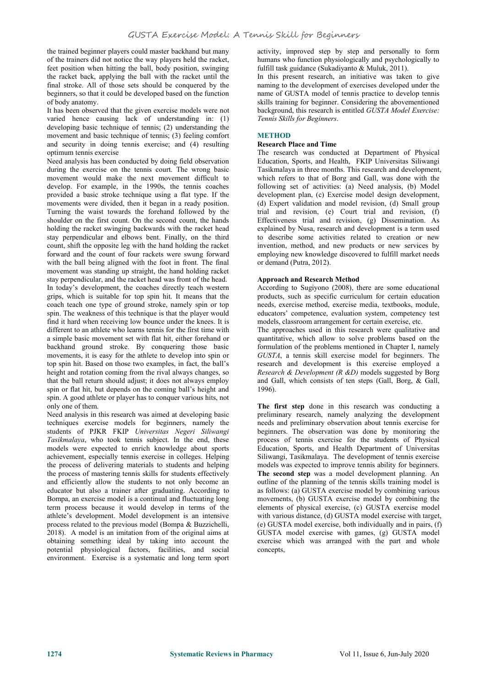the trained beginner players could master backhand but many of the trainers did not notice the way players held the racket, feet position when hitting the ball, body position, swinging the racket back, applying the ball with the racket until the final stroke. All of those sets should be conquered by the beginners, so that it could be developed based on the function of body anatomy.

It has been observed that the given exercise models were not varied hence causing lack of understanding in: (1) developing basic technique of tennis; (2) understanding the movement and basic technique of tennis; (3) feeling comfort and security in doing tennis exercise; and (4) resulting optimum tennis exercise

Need analysis has been conducted by doing field observation during the exercise on the tennis court. The wrong basic movement would make the next movement difficult to develop. For example, in the 1990s, the tennis coaches provided a basic stroke technique using a flat type. If the movements were divided, then it began in a ready position. Turning the waist towards the forehand followed by the shoulder on the first count. On the second count, the hands holding the racket swinging backwards with the racket head stay perpendicular and elbows bent. Finally, on the third count, shift the opposite leg with the hand holding the racket forward and the count of four rackets were swung forward with the ball being aligned with the foot in front. The final movement was standing up straight, the hand holding racket stay perpendicular, and the racket head was front of the head.

In today's development, the coaches directly teach western grips, which is suitable for top spin hit. It means that the coach teach one type of ground stroke, namely spin or top spin. The weakness of this technique is that the player would find it hard when receiving low bounce under the knees. It is different to an athlete who learns tennis for the first time with a simple basic movement set with flat hit, either forehand or backhand ground stroke. By conquering those basic movements, it is easy for the athlete to develop into spin or top spin hit. Based on those two examples, in fact, the ball's height and rotation coming from the rival always changes, so that the ball return should adjust; it does not always employ spin or flat hit, but depends on the coming ball's height and spin. A good athlete or player has to conquer various hits, not only one of them.

Need analysis in this research was aimed at developing basic techniques exercise models for beginners, namely the students of PJKR FKIP *Universitas Negeri Siliwangi Tasikmalaya*, who took tennis subject. In the end, these models were expected to enrich knowledge about sports achievement, especially tennis exercise in colleges. Helping the process of delivering materials to students and helping the process of mastering tennis skills for students effectively and efficiently allow the students to not only become an educator but also a trainer after graduating. According to Bompa, an exercise model is a continual and fluctuating long term process because it would develop in terms of the athlete's development. Model development is an intensive process related to the previous model (Bompa & Buzzichelli, 2018). <sup>A</sup> model is an imitation from of the original aims atobtaining something ideal by taking into account the potential physiological factors, facilities, and social environment. Exercise is a systematic and long term sport

activity, improved step by step and personally to form humans who function physiologically and psychologically to fulfill task guidance (Sukadiyanto & Muluk, 2011).

In this present research, an initiative was taken to give naming to the development of exercises developed under the name of GUSTA model of tennis practice to develop tennis skills training for beginner. Considering the abovementioned background, this research is entitled *GUSTA Model Exercise: Tennis Skills for Beginners*.

# **METHOD**

#### **Research Place and Time**

The research was conducted at Department of Physical Education, Sports, and Health, FKIP Universitas Siliwangi Tasikmalaya in three months. This research and development, which refers to that of Borg and Gall, was done with the following set of activities: (a) Need analysis, (b) Model development plan, (c) Exercise model design development, (d) Expert validation and model revision, (d) Small group trial and revision, (e) Court trial and revision, (f) Effectiveness trial and revision, (g) Dissemination. As explained by Nusa, research and development is a term used to describe some activities related to creation or new invention, method, and new products or new services by employing new knowledge discovered to fulfill market needs or demand (Putra, 2012).

#### **Approach and Research Method**

According to Sugiyono (2008), there are some educational products, such as specific curriculum for certain education needs, exercise method, exercise media, textbooks, module, educators' competence, evaluation system, competency test models, classroom arrangement for certain exercise, etc.

The approaches used in this research were qualitative and quantitative, which allow to solve problems based on the formulation of the problems mentioned in Chapter I, namely *GUSTA*, a tennis skill exercise model for beginners. The research and development is this exercise employed a *Research & Development (R &D)* models suggested by Borg and Gall, which consists of ten steps (Gall, Borg, & Gall, 1996).

**The first step** done in this research was conducting apreliminary research, namely analyzing the development needs and preliminary observation about tennis exercise for beginners. The observation was done by monitoring the process of tennis exercise for the students of Physical Education, Sports, and Health Department of Universitas Siliwangi, Tasikmalaya. The development of tennis exercise models was expected to improve tennis ability for beginners. **The second step** was a model development planning. An outline of the planning of the tennis skills training model is as follows: (a) GUSTA exercise model by combining various movements, (b) GUSTA exercise model by combining the elements of physical exercise, (c) GUSTA exercise model with various distance, (d) GUSTA model exercise with target, (e) GUSTA model exercise, both individually and in pairs, (f) GUSTA model exercise with games, (g) GUSTA model exercise which was arranged with the part and whole concepts,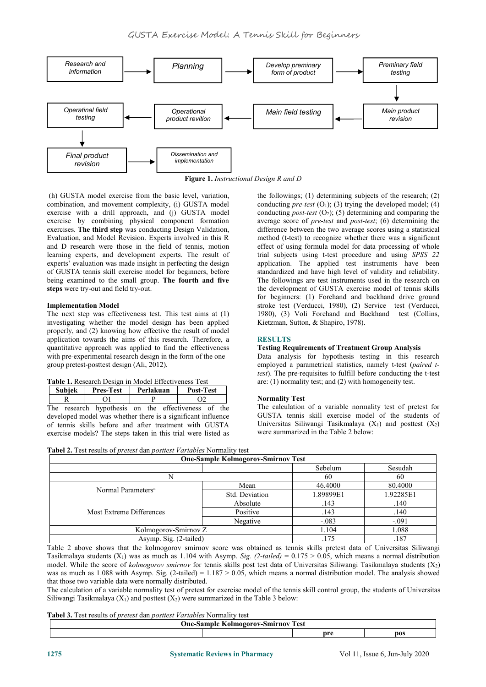

**Figure 1.** *Instructional Design R and D*

(h) GUSTA model exercise from the basic level, variation, combination, and movement complexity, (i) GUSTA model exercise with a drill approach, and (j) GUSTA model exercise by combining physical component formation exercises. **The third step** was conducting Design Validation, Evaluation, and Model Revision. Experts involved in this R and D research were those in the field of tennis, motion learning experts, and development experts. The result of experts' evaluation was made insight in perfecting the design of GUSTA tennis skill exercise model for beginners, before being examined to the small group. **The fourth and five steps** were try-out and field try-out.

# **Implementation Model**

The next step was effectiveness test. This test aims at (1) investigating whether the model design has been applied properly, and (2) knowing how effective the result of model application towards the aims of this research. Therefore, a quantitative approach was applied to find the effectiveness with pre-experimental research design in the form of the one group pretest-posttest design (Ali, 2012)*.*

| <b>Subjek</b> | <b>Pres-Test</b>                         | Perlakuan | <b>Post-Test</b> |     |       |
|---------------|------------------------------------------|-----------|------------------|-----|-------|
|               |                                          |           |                  |     | Norm  |
| Tha           | research bypathesis on the effectiveness |           |                  | th≙ | The c |

The research hypothesis on the effectiveness of the developed model was whether there is a significant influence of tennis skills before and after treatment with GUSTA exercise models? The steps taken in this trial were listed as the followings; (1) determining subjects of the research; (2) conducting *pre-test*  $(O_1)$ ;  $(3)$  trying the developed model;  $(4)$ conducting *post-test*  $(O_2)$ ;  $(5)$  determining and comparing the average score of *pre-test* and *post-test*; (6) determining the difference between the two average scores using a statistical method (t-test) to recognize whether there was a significant effect of using formula model for data processing of whole trial subjects using t-test procedure and using *SPSS 22* application. The applied test instruments have been standardized and have high level of validity and reliability. The followings are test instruments used in the research on the development of GUSTA exercise model of tennis skills for beginners: (1) Forehand and backhand drive ground stroke test (Verducci, 1980), (2) Service test (Verducci, 1980), (3) Voli Forehand and Backhand test (Collins, Kietzman, Sutton, & Shapiro, 1978).

# **RESULTS**

#### **Testing Requirements of Treatment Group Analysis**

Data analysis for hypothesis testing in this research employed a parametrical statistics, namely t-test (*paired ttest*). The pre-requisites to fulfill before conducting the t-test are: (1) normality test; and (2) with homogeneity test.

# **Normality Test**

The calculation of a variable normality test of pretest for GUSTA tennis skill exercise model of the students of Universitas Siliwangi Tasikmalaya  $(X_1)$  and posttest  $(X_2)$ were summarized in the Table 2 below:

|  |  | <b>Tabel 2.</b> Test results of <i>pretest</i> dan <i>posttest Variables</i> Normality test |  |
|--|--|---------------------------------------------------------------------------------------------|--|
|--|--|---------------------------------------------------------------------------------------------|--|

|                                | <b>One-Sample Kolmogorov-Smirnov Test</b> |           |           |
|--------------------------------|-------------------------------------------|-----------|-----------|
|                                |                                           | Sebelum   | Sesudah   |
|                                |                                           | 60        | 60        |
| Normal Parameters <sup>a</sup> | Mean                                      | 46.4000   | 80.4000   |
|                                | Std. Deviation                            | 1.89899E1 | 1.92285E1 |
|                                | Absolute                                  | .143      | .140      |
| Most Extreme Differences       | Positive                                  | .143      | .140      |
|                                | Negative                                  | $-.083$   | $-.091$   |
| Kolmogorov-Smirnov Z           |                                           | 1.104     | 1.088     |
| Asymp. Sig. (2-tailed)         |                                           | .175      | .187      |

Table 2 above shows that the kolmogorov smirnov score was obtained as tennis skills pretest data of Universitas Siliwangi Tasikmalaya students  $(X_1)$  was as much as 1.104 with Asymp. *Sig.* (2-tailed) = 0.175 > 0.05, which means a normal distribution model. While the score of *kolmogorov smirnov* for tennis skills post test data of Universitas Siliwangi Tasikmalaya students (X2) was as much as  $1.088$  with Asymp. Sig. (2-tailed) =  $1.187 > 0.05$ , which means a normal distribution model. The analysis showed that those two variable data were normally distributed.<br>The calculation of a variable normality test of pretest for exercise model of the tennis skill control group, the students of Universitas

Siliwangi Tasikmalaya  $(X_1)$  and posttest  $(X_2)$  were summarized in the Table 3 below:

#### **Tabel 3.** Test results of*pretest* dan *posttest Variables* Normality test

| m | 'est |            |
|---|------|------------|
|   | .    | <b>DOS</b> |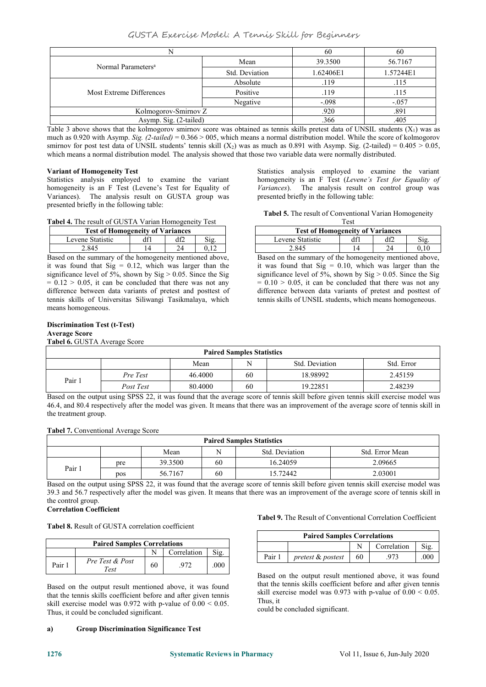# GUSTA Exercise Model: A Tennis Skill for Beginners

|                                |                | 60        | 60        |
|--------------------------------|----------------|-----------|-----------|
| Normal Parameters <sup>a</sup> | Mean           | 39.3500   | 56.7167   |
|                                | Std. Deviation | 1.62406E1 | 1.57244E1 |
|                                | Absolute       | .119      | .115      |
| Most Extreme Differences       | Positive       | .119      | .115      |
|                                | Negative       | $-.098$   | $-.057$   |
| Kolmogorov-Smirnov Z           |                | .920      | .891      |
| Asymp. Sig. (2-tailed)         |                | .366      | .405      |

Table 3 above shows that the kolmogorov smirnov score was obtained as tennis skills pretest data of UNSIL students  $(X_1)$  was as much as 0.920 with Asymp. *Sig. (2-tailed)* = 0.366 > 005, which means a normal distribution model. While the score of kolmogorov smirnov for post test data of UNSIL students' tennis skill  $(X_2)$  was as much as 0.891 with Asymp. Sig. (2-tailed) = 0.405 > 0.05, which means a normal distribution model*.* The analysis showed that those two variable data were normally distributed.

# **Variant of Homogeneity Test**

Statistics analysis employed to examine the variant homogeneity is an F Test (Levene's Test for Equality of Variances). The analysis result on GUSTA group was presented briefly in the following table:

**Tabel 4.** The result of GUSTA Varian Homogeneity Test

| <b>Test of Homogeneity of Variances</b> |  |     |    |
|-----------------------------------------|--|-----|----|
| Levene Statistic                        |  | Sig | ev |
| 2.845                                   |  |     |    |

Based on the summary of the homogeneity mentioned above, it was found that  $Sig = 0.12$ , which was larger than the significance level of 5%, shown by  $Sig > 0.05$ . Since the Sig  $= 0.12 > 0.05$ , it can be concluded that there was not any difference between data variants of pretest and posttest of tennis skills of Universitas Siliwangi Tasikmalaya, which means homogeneous.

Statistics analysis employed to examine the variant homogeneity is an F Test (*Levene's Test for Equality of Variances*). The analysis result on control group was presented briefly in the following table:

**Tabel 5.** The result of Conventional Varian Homogeneity Test

|                  | $\sim$<br><b>Test of Homogeneity of Variances</b> |  |                        |  |  |  |
|------------------|---------------------------------------------------|--|------------------------|--|--|--|
| Levene Statistic |                                                   |  |                        |  |  |  |
| 2.845            |                                                   |  | $\degree$ 10 $\degree$ |  |  |  |

Based on the summary of the homogeneity mentioned above, it was found that  $Sig = 0.10$ , which was larger than the significance level of 5%, shown by  $Sig > 0.05$ . Since the Sig  $= 0.10 > 0.05$ , it can be concluded that there was not any difference between data variants of pretest and posttest of tennis skills of UNSIL students, which means homogeneous.

# **Discrimination Test (t-Test)**

**Average Score**

**Tabel 6.** GUSTA Average Score

|        |           |         | <b>Paired Samples Statistics</b> |                |            |
|--------|-----------|---------|----------------------------------|----------------|------------|
|        |           | Mean    |                                  | Std. Deviation | Std. Error |
|        | Pre Test  | 46.4000 | 60                               | 18.98992       | 2.45159    |
| Pair 1 | Post Test | 80.4000 | 60                               | 19.22851       | 2.48239    |

Based on the output using SPSS 22, it was found that the average score of tennis skill before given tennis skill exercise model was 46.4, and 80.4 respectively after the model was given. It means that there was an improvement of the average score of tennis skill in the treatment group.

#### **Tabel 7.** Conventional Average Score

|        |     |         |    | <b>Paired Samples Statistics</b> |                 |
|--------|-----|---------|----|----------------------------------|-----------------|
|        |     | Mean    |    | Std. Deviation                   | Std. Error Mean |
|        | pre | 39.3500 | 60 | 16.24059                         | 2.09665         |
| Pair 1 | pos | 56.7167 | 60 | 15.72442                         | 2.03001         |

Based on the output using SPSS 22, it was found that the average score of tennis skill before given tennis skill exercise model was 39.3 and 56.7 respectively after the model was given. It means that there was an improvement of the average score of tennis skill in the control group.

#### **Correlation Coefficient**

**Tabel 8.** Result of GUSTA correlation coefficient

|        | <b>Paired Samples Correlations</b> |    |             |      |                       |  |
|--------|------------------------------------|----|-------------|------|-----------------------|--|
|        |                                    |    | Correlation | Sig. |                       |  |
| Pair 1 | Pre Test & Post<br>Test            | 60 | .972        | .000 | Pair<br>$D = -1$ $-1$ |  |

Based on the output result mentioned above, it was found that the tennis skills coefficient before and after given tennis skill exercise model was  $0.972$  with p-value of  $0.00 \le 0.05$ . Thus, it could be concluded significant.

**a) Group Discrimination Significance Test**

**Tabel 9.** The Result of Conventional Correlation Coefficient

| <b>Paired Samples Correlations</b> |                   |    |             |      |  |
|------------------------------------|-------------------|----|-------------|------|--|
|                                    |                   |    | Correlation | Sig. |  |
| Pair 1                             | pretest & postest | 60 |             | 000  |  |

Based on the output result mentioned above, it was found that the tennis skills coefficient before and after given tennis skill exercise model was 0.973 with p-value of 0.00 < 0.05. Thus, it

could be concluded significant.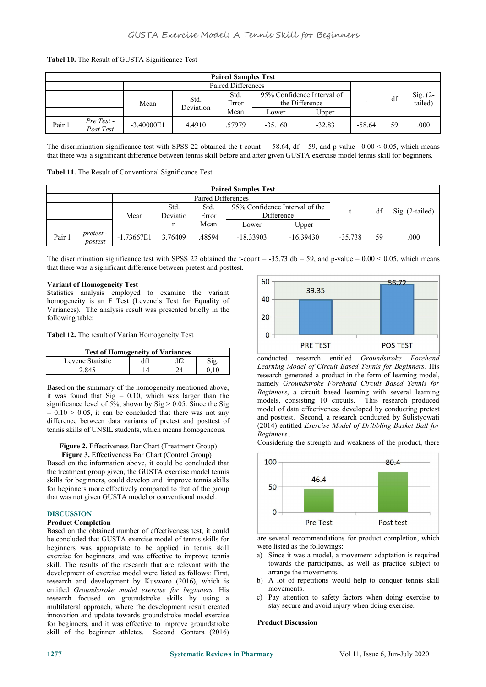| <b>Paired Samples Test</b> |                         |              |                   |                    |           |                                              |          |    |                       |  |  |
|----------------------------|-------------------------|--------------|-------------------|--------------------|-----------|----------------------------------------------|----------|----|-----------------------|--|--|
|                            |                         |              |                   | Paired Differences |           |                                              |          |    |                       |  |  |
|                            |                         | Mean         | Std.<br>Deviation | Std.<br>Error      |           | 95% Confidence Interval of<br>the Difference |          | df | Sig. $(2-$<br>tailed) |  |  |
|                            |                         |              |                   | Mean               | Lower     | Upper                                        |          |    |                       |  |  |
| Pair 1                     | Pre Test -<br>Post Test | $-3.40000E1$ | 4.4910            | .57979             | $-35.160$ | $-32.83$                                     | $-58.64$ | 59 | .000                  |  |  |

# **Tabel 10.** The Result of GUSTA Significance Test

The discrimination significance test with SPSS 22 obtained the t-count = -58.64, df = 59, and p-value =0.00 < 0.05, which means that there was a significant difference between tennis skill before and after given GUSTA exercise model tennis skill for beginners.

| <b>Paired Samples Test</b> |                      |              |                    |               |                                              |             |           |                   |      |  |
|----------------------------|----------------------|--------------|--------------------|---------------|----------------------------------------------|-------------|-----------|-------------------|------|--|
|                            |                      |              | Paired Differences |               |                                              |             |           |                   |      |  |
|                            |                      | Mean         | Std.<br>Deviatio   | Std.<br>Error | 95% Confidence Interval of the<br>Difference |             | df        | $Sig. (2-tailed)$ |      |  |
|                            |                      |              |                    | Mean          | Lower                                        | Upper       |           |                   |      |  |
| Pair i                     | pretest -<br>postest | $-1.73667E1$ | 3.76409            | .48594        | $-18.33903$                                  | $-16.39430$ | $-35.738$ | 59                | .000 |  |

The discrimination significance test with SPSS 22 obtained the t-count = -35.73 db = 59, and p-value =  $0.00 \le 0.05$ , which means that there was a significant difference between pretest and posttest.

#### **Variant of Homogeneity Test**

Statistics analysis employed to examine the variant  $\begin{array}{|l|l|}\n\hline\n\end{array}$  homogeneity is an E Test (Levene's Test for Equality of  $\begin{array}{|l|l|}\n\hline\n\end{array}$ homogeneity is an F Test (Levene's Test for Equality of Variances). The analysis result was presented briefly in the following table: following table:

**Tabel 12.** The result of Varian Homogeneity Test

| <b>Test of Homogeneity of Variances</b> |  |          |                                                                                                                               |
|-----------------------------------------|--|----------|-------------------------------------------------------------------------------------------------------------------------------|
| Levene Statistic                        |  | Sig      | conducted                                                                                                                     |
| 2.845                                   |  | $0.10\,$ | Learning 1<br>the contract of the contract of the contract of the contract of the contract of the contract of the contract of |

Based on the summary of the homogeneity mentioned above, it was found that  $Sig = 0.10$ , which was larger than the significance level of 5%, shown by  $Sig > 0.05$ . Since the Sig  $= 0.10 > 0.05$ , it can be concluded that there was not any difference between data variants of pretest and posttest of tennis skills of UNSIL students, which means homogeneous.

#### **Figure 2.** Effectiveness Bar Chart (Treatment Group)

**Figure 3.** Effectiveness Bar Chart (Control Group) Based on the information above, it could be concluded that 100 the treatment group given, the GUSTA exercise model tennis skills for beginners, could develop and improve tennis skills<br>for beginners more effectively compared to that of the group for beginners more effectively compared to that of the group that was not given GUSTA model or conventional model.

#### **DISCUSSION**

# **Product Completion**

Based on the obtained number of effectiveness test, it could be concluded that GUSTA exercise model of tennis skills for beginners was appropriate to be applied in tennis skill exercise for beginners, and was effective to improve tennis skill. The results of the research that are relevant with the development of exercise model were listed as follows: First, research and development by Kusworo (2016), which is entitled *Groundstroke model exercise for beginners*. His research focused on groundstroke skills by using a multilateral approach, where the development result created innovation and update towards groundstroke model exercise for beginners, and it was effective to improve groundstroke skill of the beginner athletes. Second*,* Gontara (2016)



conducted research entitled *Groundstroke Forehand Learning Model of Circuit Based Tennis for Beginners.* His research generated a product in the form of learning model, namely *Groundstroke Forehand Circuit Based Tennis for* Beginners, a circuit based learning with several learning models, consisting 10 circuits. This research produced model of data effectiveness developed by conducting pretest and posttest. Second, a research conducted by Sulistyowati (2014) entitled *Exercise Model of Dribbling Basket Ball for Beginners*..

Considering the strength and weakness of the product, there



are several recommendations for product completion, which were listed as the followings:

- a) Since it was a model, a movement adaptation is required towards the participants, as well as practice subject to arrange the movements.
- b) A lot of repetitions would help to conquer tennis skill movements.
- c) Pay attention to safety factors when doing exercise to stay secure and avoid injury when doing exercise.

# **Product Discussion**